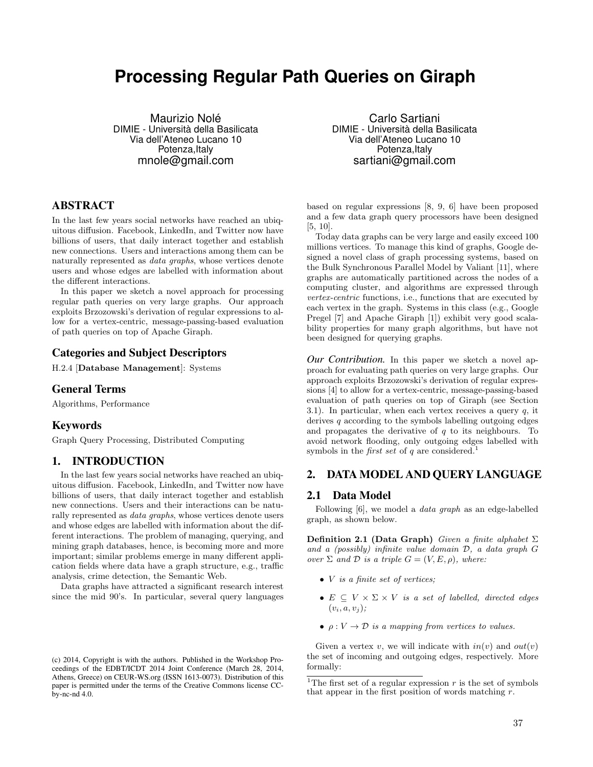# **Processing Regular Path Queries on Giraph**

Maurizio Nolé DIMIE - Università della Basilicata Via dell'Ateneo Lucano 10 Potenza, Italy mnole@gmail.com

# ABSTRACT

In the last few years social networks have reached an ubiquitous diffusion. Facebook, LinkedIn, and Twitter now have billions of users, that daily interact together and establish new connections. Users and interactions among them can be naturally represented as *data graphs*, whose vertices denote users and whose edges are labelled with information about the different interactions.

In this paper we sketch a novel approach for processing regular path queries on very large graphs. Our approach exploits Brzozowski's derivation of regular expressions to allow for a vertex-centric, message-passing-based evaluation of path queries on top of Apache Giraph.

# Categories and Subject Descriptors

H.2.4 [Database Management]: Systems

# General Terms

Algorithms, Performance

# Keywords

Graph Query Processing, Distributed Computing

# 1. INTRODUCTION

In the last few years social networks have reached an ubiquitous diffusion. Facebook, LinkedIn, and Twitter now have billions of users, that daily interact together and establish new connections. Users and their interactions can be naturally represented as *data graphs*, whose vertices denote users and whose edges are labelled with information about the different interactions. The problem of managing, querying, and mining graph databases, hence, is becoming more and more important; similar problems emerge in many different application fields where data have a graph structure, e.g., traffic analysis, crime detection, the Semantic Web.

Data graphs have attracted a significant research interest since the mid 90's. In particular, several query languages

Carlo Sartiani DIMIE - Università della Basilicata Via dell'Ateneo Lucano 10 Potenza, Italy sartiani@gmail.com

based on regular expressions [8, 9, 6] have been proposed and a few data graph query processors have been designed [5, 10].

Today data graphs can be very large and easily exceed 100 millions vertices. To manage this kind of graphs, Google designed a novel class of graph processing systems, based on the Bulk Synchronous Parallel Model by Valiant [11], where graphs are automatically partitioned across the nodes of a computing cluster, and algorithms are expressed through *vertex-centric* functions, i.e., functions that are executed by each vertex in the graph. Systems in this class (e.g., Google Pregel [7] and Apache Giraph [1]) exhibit very good scalability properties for many graph algorithms, but have not been designed for querying graphs.

*Our Contribution.* In this paper we sketch a novel approach for evaluating path queries on very large graphs. Our approach exploits Brzozowski's derivation of regular expressions [4] to allow for a vertex-centric, message-passing-based evaluation of path queries on top of Giraph (see Section 3.1). In particular, when each vertex receives a query *q*, it derives *q* according to the symbols labelling outgoing edges and propagates the derivative of *q* to its neighbours. To avoid network flooding, only outgoing edges labelled with symbols in the *first set* of  $q$  are considered.<sup>1</sup>

# 2. DATA MODEL AND QUERY LANGUAGE

### 2.1 Data Model

Following [6], we model a *data graph* as an edge-labelled graph, as shown below.

**Definition 2.1 (Data Graph)** *Given a finite alphabet*  $\Sigma$ *and a (possibly) infinite value domain D, a data graph G over*  $\Sigma$  *and*  $D$  *is a triple*  $G = (V, E, \rho)$ *, where:* 

- *• V is a finite set of vertices;*
- $E \subseteq V \times \Sigma \times V$  *is a set of labelled, directed edges*  $(v_i, a, v_j);$
- $\rho: V \to \mathcal{D}$  *is a mapping from vertices to values.*

Given a vertex *v*, we will indicate with  $in(v)$  and  $out(v)$ the set of incoming and outgoing edges, respectively. More formally:

<sup>(</sup>c) 2014, Copyright is with the authors. Published in the Workshop Proceedings of the EDBT/ICDT 2014 Joint Conference (March 28, 2014, Athens, Greece) on CEUR-WS.org (ISSN 1613-0073). Distribution of this paper is permitted under the terms of the Creative Commons license CCby-nc-nd 4.0.

<sup>&</sup>lt;sup>1</sup>The first set of a regular expression  $r$  is the set of symbols that appear in the first position of words matching *r*.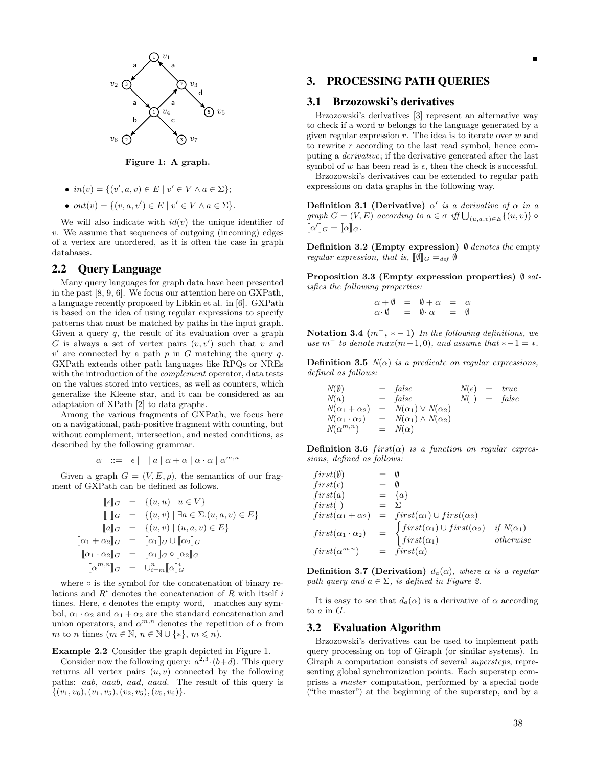

Figure 1: A graph.

- $in(v) = \{(v', a, v) \in E \mid v' \in V \land a \in \Sigma\};\$
- $out(v) = \{(v, a, v') \in E \mid v' \in V \land a \in \Sigma\}.$

We will also indicate with  $id(v)$  the unique identifier of *v*. We assume that sequences of outgoing (incoming) edges of a vertex are unordered, as it is often the case in graph databases.

# 2.2 Query Language

Many query languages for graph data have been presented in the past [8, 9, 6]. We focus our attention here on GXPath, a language recently proposed by Libkin et al. in [6]. GXPath is based on the idea of using regular expressions to specify patterns that must be matched by paths in the input graph. Given a query *q*, the result of its evaluation over a graph *G* is always a set of vertex pairs  $(v, v')$  such that *v* and  $v'$  are connected by a path  $p$  in  $G$  matching the query  $q$ . GXPath extends other path languages like RPQs or NREs with the introduction of the *complement* operator, data tests on the values stored into vertices, as well as counters, which generalize the Kleene star, and it can be considered as an adaptation of XPath [2] to data graphs.

Among the various fragments of GXPath, we focus here on a navigational, path-positive fragment with counting, but without complement, intersection, and nested conditions, as described by the following grammar.

$$
\alpha \quad ::= \quad \epsilon \mid \_ \mid a \mid \alpha + \alpha \mid \alpha \cdot \alpha \mid \alpha^{m,n}
$$

Given a graph  $G = (V, E, \rho)$ , the semantics of our fragment of GXPath can be defined as follows.

$$
\begin{array}{rcl}\n[\![\epsilon]\!]_G & = & \{ (u,u) \mid u \in V \} \\
[\![\_]\!]_G & = & \{ (u,v) \mid \exists a \in \Sigma. (u,a,v) \in E \} \\
[\![a]\!]_G & = & \{ (u,v) \mid (u,a,v) \in E \} \\
[\![\alpha_1 + \alpha_2]\!]_G & = & [\![\alpha_1]\!]_G \cup [\![\alpha_2]\!]_G \\
[\![\alpha_1 \cdot \alpha_2]\!]_G & = & [\![\alpha_1]\!]_G \circ [\![\alpha_2]\!]_G \\
[\![a^{m,n}]\!]_G & = & \cup_{i=m}^n [\![\alpha]\!]_G^i\n\end{array}
$$

where  $\circ$  is the symbol for the concatenation of binary relations and *R<sup>i</sup>* denotes the concatenation of *R* with itself *i* times. Here,  $\epsilon$  denotes the empty word,  $\epsilon$  matches any symbol,  $\alpha_1 \cdot \alpha_2$  and  $\alpha_1 + \alpha_2$  are the standard concatenation and union operators, and  $\alpha^{m,n}$  denotes the repetition of  $\alpha$  from *m* to *n* times  $(m \in \mathbb{N}, n \in \mathbb{N} \cup \{*\}, m \leq n)$ .

### Example 2.2 Consider the graph depicted in Figure 1.

Consider now the following query:  $a^{2,3}$   $\cdot (b+d)$ . This query returns all vertex pairs  $(u, v)$  connected by the following paths: *aab*, *aaab*, *aad*, *aaad*. The result of this query is *{*(*v*1*, v*6)*,*(*v*1*, v*5)*,*(*v*2*, v*5)*,*(*v*5*, v*6)*}*.

# 3. PROCESSING PATH QUERIES

# 3.1 Brzozowski's derivatives

Brzozowski's derivatives [3] represent an alternative way to check if a word *w* belongs to the language generated by a given regular expression *r*. The idea is to iterate over *w* and to rewrite *r* according to the last read symbol, hence computing a *derivative*; if the derivative generated after the last symbol of  $w$  has been read is  $\epsilon$ , then the check is successful.

Brzozowski's derivatives can be extended to regular path expressions on data graphs in the following way.

Definition 3.1 (Derivative)  $\alpha'$  *is a derivative of*  $\alpha$  *in a graph*  $G = (V, E)$  *according to*  $a \in \sigma$  *iff*  $\bigcup_{(u, a, v) \in E} \{(u, v)\}$  $\llbracket \alpha' \rrbracket_G = \llbracket \alpha \rrbracket_G.$ 

**Definition 3.2 (Empty expression)**  $\emptyset$  *denotes the* empty *regular expression, that is,*  $[\![\emptyset]\!]_G =_{def} \emptyset$ 

Proposition 3.3 (Empty expression properties)  $\emptyset$  sat*isfies the following properties:*

$$
\begin{array}{rcl}\n\alpha + \emptyset & = & \emptyset + \alpha & = & \alpha \\
\alpha \cdot \emptyset & = & \emptyset \cdot \alpha & = & \emptyset\n\end{array}
$$

Notation 3.4  $(m^-, * - 1)$  *In the following definitions, we*  $use\ m^- to denote\ max(m-1,0), and assume\ that *-1 = *$ .

**Definition 3.5**  $N(\alpha)$  *is a predicate on regular expressions, defined as follows:*

$$
N(\emptyset) = false \t\t N(\epsilon) = true\nN(\alpha) = false \t\t N(\epsilon) = true\nN(\alpha_1 + \alpha_2) = N(\alpha_1) \vee N(\alpha_2)\nN(\alpha_1 \cdot \alpha_2) = N(\alpha_1) \wedge N(\alpha_2)\nN(\alpha^{m,n}) = N(\alpha)
$$

Definition 3.6  $first(\alpha)$  *is a function on regular expressions, defined as follows:*

$$
first(\emptyset) = \emptyset
$$
  
\n
$$
first(\epsilon) = \emptyset
$$
  
\n
$$
first(\alpha) = \{a\}
$$
  
\n
$$
first(\alpha_1 + \alpha_2) = first(\alpha_1) \cup first(\alpha_2)
$$
  
\n
$$
first(\alpha_1 \cdot \alpha_2) = \begin{cases} first(\alpha_1) \cup first(\alpha_2) & \text{if } N(\alpha_1) \\ first(\alpha_1) & \text{otherwise} \end{cases}
$$
  
\n
$$
first(\alpha^{m,n}) = first(\alpha)
$$

**Definition 3.7 (Derivation)**  $d_a(\alpha)$ *, where*  $\alpha$  *is a regular path query and*  $a \in \Sigma$ *, is defined in Figure 2.* 

It is easy to see that  $d_a(\alpha)$  is a derivative of  $\alpha$  according to *a* in *G*.

### 3.2 Evaluation Algorithm

Brzozowski's derivatives can be used to implement path query processing on top of Giraph (or similar systems). In Giraph a computation consists of several *supersteps*, representing global synchronization points. Each superstep comprises a *master* computation, performed by a special node ("the master") at the beginning of the superstep, and by a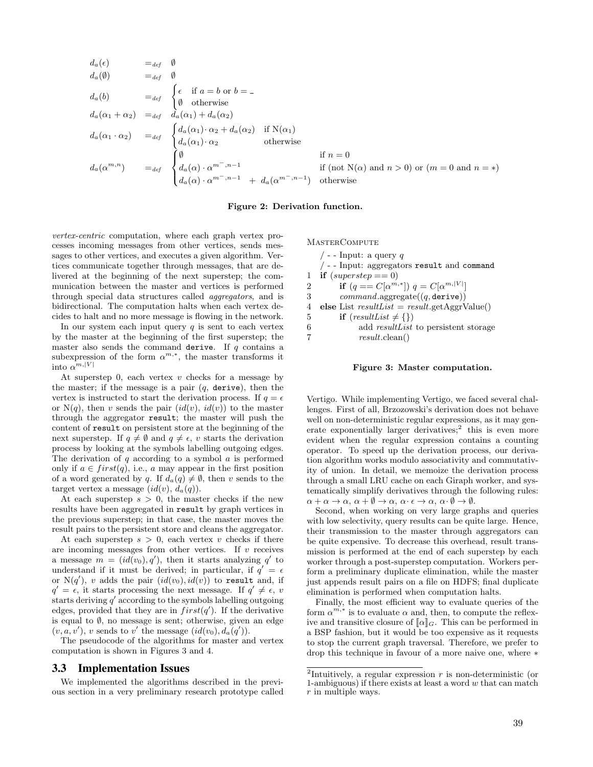$$
d_a(e) = d_{ef} \emptyset
$$
  
\n
$$
d_a(0) = d_{ef} \emptyset
$$
  
\n
$$
d_a(b) = d_{ef} \begin{cases} \n\epsilon & \text{if } a = b \text{ or } b = - \\ \n\varnothing & \text{otherwise} \n\end{cases}
$$
  
\n
$$
d_a(\alpha_1 + \alpha_2) = d_{ef} \begin{cases} \n\epsilon & \text{if } a = b \text{ or } b = - \\ \n\varnothing & \text{otherwise} \n\end{cases}
$$
  
\n
$$
d_a(\alpha_1 \cdot \alpha_2) = d_{ef} \begin{cases} \n\epsilon & \text{if } \alpha(a_1) \cdot \alpha_2 + d_a(\alpha_2) & \text{if } N(\alpha_1) \\ \n\epsilon & \text{otherwise} \n\end{cases}
$$
  
\n
$$
d_a(\alpha^m \cdot n) = d_{ef} \begin{cases} \n\varnothing & \text{if } n = 0 \\ \n\epsilon & \text{if } n = 0 \\ \n\epsilon & \text{if } (\text{not } N(\alpha) \text{ and } n > 0) \text{ or } (m = 0 \text{ and } n = *) \\ \n\epsilon & \text{otherwise} \n\end{cases}
$$

#### Figure 2: Derivation function.

*vertex-centric* computation, where each graph vertex processes incoming messages from other vertices, sends messages to other vertices, and executes a given algorithm. Vertices communicate together through messages, that are delivered at the beginning of the next superstep; the communication between the master and vertices is performed through special data structures called *aggregators*, and is bidirectional. The computation halts when each vertex decides to halt and no more message is flowing in the network.

In our system each input query  $q$  is sent to each vertex by the master at the beginning of the first superstep; the master also sends the command derive. If *q* contains a subexpression of the form  $\alpha^{m,*}$ , the master transforms it into  $\alpha^{[m,|V|}$ 

At superstep 0, each vertex *v* checks for a message by the master; if the message is a pair  $(q, \text{ derive})$ , then the vertex is instructed to start the derivation process. If  $q = \epsilon$ or  $N(q)$ , then *v* sends the pair  $(id(v), id(v))$  to the master through the aggregator result; the master will push the content of result on persistent store at the beginning of the next superstep. If  $q \neq \emptyset$  and  $q \neq \epsilon$ , *v* starts the derivation process by looking at the symbols labelling outgoing edges. The derivation of *q* according to a symbol *a* is performed only if  $a \in first(q)$ , i.e., *a* may appear in the first position of a word generated by *q*. If  $d_a(q) \neq \emptyset$ , then *v* sends to the target vertex a message  $(id(v), d_a(q))$ .

At each superstep  $s > 0$ , the master checks if the new results have been aggregated in result by graph vertices in the previous superstep; in that case, the master moves the result pairs to the persistent store and cleans the aggregator.

At each superstep  $s > 0$ , each vertex *v* checks if there are incoming messages from other vertices. If *v* receives a message  $m = (id(v_0), q')$ , then it starts analyzing  $q'$  to understand if it must be derived; in particular, if  $q' = \epsilon$ or  $N(q')$ *,*  $v$  adds the pair  $(id(v_0), id(v))$  to result and, if  $q' = \epsilon$ , it starts processing the next message. If  $q' \neq \epsilon$ , *v* starts deriving  $q'$  according to the symbols labelling outgoing edges, provided that they are in  $first(q')$ . If the derivative is equal to  $\emptyset$ , no message is sent; otherwise, given an edge  $(v, a, v'), v$  sends to *v'* the message  $(id(v_0), d_a(q')).$ 

The pseudocode of the algorithms for master and vertex computation is shown in Figures 3 and 4.

#### 3.3 Implementation Issues

We implemented the algorithms described in the previous section in a very preliminary research prototype called **MASTERCOMPUTE** 

/ - - Input: a query *q* / - - Input: aggregators result and command 1 if  $(superstep == 0)$ 2 if  $(q == C[\alpha^{m,*}]) q = C[\alpha^{m,[V]}]$ 3 *command*.aggregate((*q,* derive)) 4 else List *resultList* = *result*.getAggrValue() 5 **if**  $(resultList \neq {\})$ <br>6 **add** *resultList* 6 add *resultList* to persistent storage 7 *result*.clean()

#### Figure 3: Master computation.

Vertigo. While implementing Vertigo, we faced several challenges. First of all, Brzozowski's derivation does not behave well on non-deterministic regular expressions, as it may generate exponentially larger derivatives; $\frac{2}{3}$  this is even more evident when the regular expression contains a counting operator. To speed up the derivation process, our derivation algorithm works modulo associativity and commutativity of union. In detail, we memoize the derivation process through a small LRU cache on each Giraph worker, and systematically simplify derivatives through the following rules:  $\alpha + \alpha \to \alpha, \, \alpha + \emptyset \to \alpha, \, \alpha \cdot \epsilon \to \alpha, \, \alpha \cdot \emptyset \to \emptyset.$ 

Second, when working on very large graphs and queries with low selectivity, query results can be quite large. Hence, their transmission to the master through aggregators can be quite expensive. To decrease this overhead, result transmission is performed at the end of each superstep by each worker through a post-superstep computation. Workers perform a preliminary duplicate elimination, while the master just appends result pairs on a file on HDFS; final duplicate elimination is performed when computation halts.

Finally, the most efficient way to evaluate queries of the form  $\alpha^{m,*}$  is to evaluate  $\alpha$  and, then, to compute the reflexive and transitive closure of  $\llbracket \alpha \rrbracket_G$ . This can be performed in a BSP fashion, but it would be too expensive as it requests to stop the current graph traversal. Therefore, we prefer to drop this technique in favour of a more naive one, where  $*$ 

<sup>&</sup>lt;sup>2</sup>Intuitively, a regular expression  $r$  is non-deterministic (or 1-ambiguous) if there exists at least a word *<sup>w</sup>* that can match *<sup>r</sup>* in multiple ways.